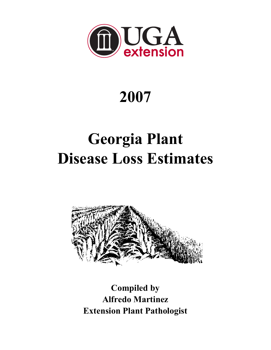

# **2007**

# **Georgia Plant Disease Loss Estimates**



**Compiled by Alfredo Martinez Extension Plant Pathologist**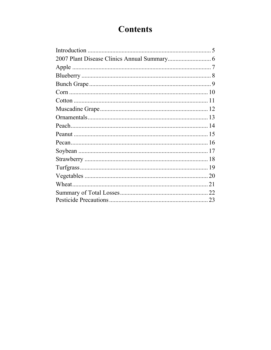# **Contents**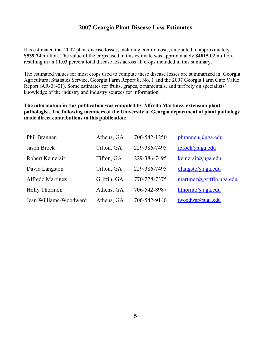#### **2007 Georgia Plant Disease Loss Estimates**

It is estimated that 2007 plant disease losses, including control costs, amounted to approximately **\$539.74** million. The value of the crops used in this estimate was approximately **\$4815.02** million, resulting in an **11.03** percent total disease loss across all crops included in this summary.

The estimated values for most crops used to compute these disease losses are summarized in: Georgia Agricultural Statistics Service, Georgia Farm Report 8, No. 1 and the 2007 Georgia Farm Gate Value Report (AR-08-01). Some estimates for fruits, grapes, ornamentals, and turf rely on specialists' knowledge of the industry and industry sources for information.

#### **The information in this publication was compiled by Alfredo Martinez, extension plant pathologist. The following members of the University of Georgia department of plant pathology made direct contributions to this publication:**

| <b>Phil Brannen</b>    | Athens, GA  | 706-542-1250 | pbrannen@uga.edu                       |
|------------------------|-------------|--------------|----------------------------------------|
| Jason Brock            | Tifton, GA  | 229-386-7495 | jbrock@uga.edu                         |
| Robert Kemerait        | Tifton, GA  | 229-386-7495 | kemerait@uga.edu                       |
| David Langston         | Tifton, GA  | 229-386-7495 | $dl$ angsto@uga.edu                    |
| Alfredo Martinez       | Griffin, GA | 770-228-7375 | $martinez(\partial, griffin. uga.edu)$ |
| <b>Holly Thornton</b>  | Athens, GA  | 706-542-8987 | hthornto@uga.edu                       |
| Jean Williams-Woodward | Athens, GA  | 706-542-9140 | $i$ woodwar@uga.edu                    |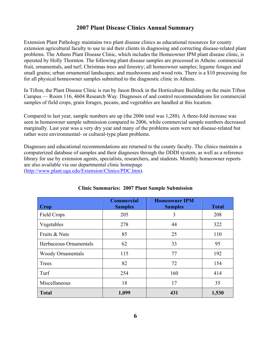# **2007 Plant Disease Clinics Annual Summary**

Extension Plant Pathology maintains two plant disease clinics as educational resources for county extension agricultural faculty to use to aid their clients in diagnosing and correcting disease-related plant problems. The Athens Plant Disease Clinic, which includes the Homeowner IPM plant disease clinic, is operated by Holly Thornton. The following plant disease samples are processed in Athens: commercial fruit, ornamentals, and turf; Christmas trees and forestry; all homeowner samples; legume forages and small grains; urban ornamental landscapes; and mushrooms and wood rots. There is a \$10 processing fee for all physical homeowner samples submitted to the diagnostic clinic in Athens.

In Tifton, the Plant Disease Clinic is run by Jason Brock in the Horticulture Building on the main Tifton Campus — Room 116, 4604 Research Way. Diagnoses of and control recommendations for commercial samples of field crops, grain forages, pecans, and vegetables are handled at this location.

Compared to last year, sample numbers are up (the 2006 total was 1,288). A three-fold increase was seen in homeowner sample submission compared to 2006, while commercial sample numbers decreased marginally. Last year was a very dry year and many of the problems seen were not disease-related but rather were environmental- or cultural-type plant problems.

Diagnoses and educational recommendations are returned to the county faculty. The clinics maintain a computerized database of samples and their diagnoses through the DDDI system, as well as a reference library for use by extension agents, specialists, researchers, and students. Monthly homeowner reports are also available via our departmental clinic homepage (http://www.plant.uga.edu/Extension/Clinics/PDC.htm).

| Crop                     | <b>Commercial</b><br><b>Samples</b> | <b>Homeowner IPM</b><br><b>Samples</b> | <b>Total</b> |
|--------------------------|-------------------------------------|----------------------------------------|--------------|
| <b>Field Crops</b>       | 205                                 | 3                                      | 208          |
| Vegetables               | 278                                 | 44                                     | 322          |
| Fruits & Nuts            | 85                                  | 25                                     | 110          |
| Herbaceous Ornamentals   | 62                                  | 33                                     | 95           |
| <b>Woody Ornamentals</b> | 115                                 | 77                                     | 192          |
| Trees                    | 82                                  | 72                                     | 154          |
| Turf                     | 254                                 | 160                                    | 414          |
| Miscellaneous            | 18                                  | 17                                     | 35           |
| <b>Total</b>             | 1,099                               | 431                                    | 1,530        |

#### **Clinic Summaries: 2007 Plant Sample Submission**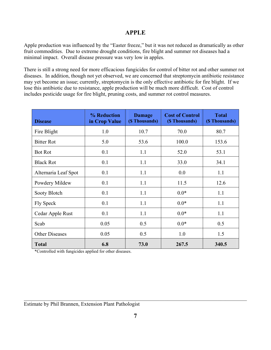#### **APPLE**

Apple production was influenced by the "Easter freeze," but it was not reduced as dramatically as other fruit commodities. Due to extreme drought conditions, fire blight and summer rot diseases had a minimal impact. Overall disease pressure was very low in apples.

There is still a strong need for more efficacious fungicides for control of bitter rot and other summer rot diseases. In addition, though not yet observed, we are concerned that streptomycin antibiotic resistance may yet become an issue; currently, streptomycin is the only effective antibiotic for fire blight. If we lose this antibiotic due to resistance, apple production will be much more difficult. Cost of control includes pesticide usage for fire blight, pruning costs, and summer rot control measures.

| <b>Disease</b>        | % Reduction<br>in Crop Value | <b>Damage</b><br>(\$ Thousands) | <b>Cost of Control</b><br>(\$ Thousands) | <b>Total</b><br>(\$ Thousands) |
|-----------------------|------------------------------|---------------------------------|------------------------------------------|--------------------------------|
| Fire Blight           | 1.0                          | 10.7                            | 70.0                                     | 80.7                           |
| <b>Bitter Rot</b>     | 5.0                          | 53.6                            | 100.0                                    | 153.6                          |
| <b>Bot Rot</b>        | 0.1                          | 1.1                             | 52.0                                     | 53.1                           |
| <b>Black Rot</b>      | 0.1                          | 1.1                             | 33.0                                     | 34.1                           |
| Alternaria Leaf Spot  | 0.1                          | 1.1                             | 0.0                                      | 1.1                            |
| Powdery Mildew        | 0.1                          | 1.1                             | 11.5                                     | 12.6                           |
| Sooty Blotch          | 0.1                          | 1.1                             | $0.0*$                                   | 1.1                            |
| <b>Fly Speck</b>      | 0.1                          | 1.1                             | $0.0*$                                   | 1.1                            |
| Cedar Apple Rust      | 0.1                          | 1.1                             | $0.0*$                                   | 1.1                            |
| Scab                  | 0.05                         | 0.5                             | $0.0*$                                   | 0.5                            |
| <b>Other Diseases</b> | 0.05                         | 0.5                             | 1.0                                      | 1.5                            |
| <b>Total</b>          | 6.8                          | 73.0                            | 267.5                                    | 340.5                          |

\*Controlled with fungicides applied for other diseases.

\_\_\_\_\_\_\_\_\_\_\_\_\_\_\_\_\_\_\_\_\_\_\_\_\_\_\_\_\_\_\_\_\_\_\_\_\_\_\_\_\_\_\_\_\_\_\_\_\_\_\_\_\_\_\_\_\_\_\_\_\_\_\_\_\_\_\_\_\_\_\_\_\_\_\_\_\_\_\_\_\_\_\_\_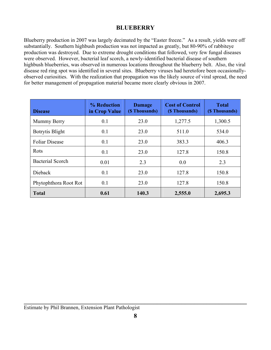# **BLUEBERRY**

Blueberry production in 2007 was largely decimated by the "Easter freeze." As a result, yields were off substantially. Southern highbush production was not impacted as greatly, but 80-90% of rabbiteye production was destroyed. Due to extreme drought conditions that followed, very few fungal diseases were observed. However, bacterial leaf scorch, a newly-identified bacterial disease of southern highbush blueberries, was observed in numerous locations throughout the blueberry belt. Also, the viral disease red ring spot was identified in several sites. Blueberry viruses had heretofore been occasionallyobserved curiosities. With the realization that propagation was the likely source of viral spread, the need for better management of propagation material became more clearly obvious in 2007.

| <b>Disease</b>          | % Reduction<br>in Crop Value | <b>Damage</b><br>(\$ Thousands) | <b>Cost of Control</b><br>(\$ Thousands) | <b>Total</b><br>(\$ Thousands) |
|-------------------------|------------------------------|---------------------------------|------------------------------------------|--------------------------------|
| Mummy Berry             | 0.1                          | 23.0                            | 1,277.5                                  | 1,300.5                        |
| Botrytis Blight         | 0.1                          | 23.0                            | 511.0                                    | 534.0                          |
| <b>Foliar Disease</b>   | 0.1                          | 23.0                            | 383.3                                    | 406.3                          |
| Rots                    | 0.1                          | 23.0                            | 127.8                                    | 150.8                          |
| <b>Bacterial Scorch</b> | 0.01                         | 2.3                             | 0.0                                      | 2.3                            |
| Dieback                 | 0.1                          | 23.0                            | 127.8                                    | 150.8                          |
| Phytophthora Root Rot   | 0.1                          | 23.0                            | 127.8                                    | 150.8                          |
| <b>Total</b>            | 0.61                         | 140.3                           | 2,555.0                                  | 2,695.3                        |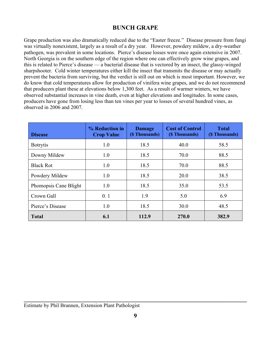# **BUNCH GRAPE**

Grape production was also dramatically reduced due to the "Easter freeze." Disease pressure from fungi was virtually nonexistent, largely as a result of a dry year. However, powdery mildew, a dry-weather pathogen, was prevalent in some locations. Pierce's disease losses were once again extensive in 2007. North Georgia is on the southern edge of the region where one can effectively grow wine grapes, and this is related to Pierce's disease — a bacterial disease that is vectored by an insect, the glassy-winged sharpshooter. Cold winter temperatures either kill the insect that transmits the disease or may actually prevent the bacteria from surviving, but the verdict is still out on which is most important. However, we do know that cold temperatures allow for production of vinifera wine grapes, and we do not recommend that producers plant these at elevations below 1,300 feet. As a result of warmer winters, we have observed substantial increases in vine death, even at higher elevations and longitudes. In some cases, producers have gone from losing less than ten vines per year to losses of several hundred vines, as observed in 2006 and 2007.

| <b>Disease</b>        | % Reduction in<br><b>Crop Value</b> | <b>Damage</b><br>(\$ Thousands) | <b>Cost of Control</b><br>(\$ Thousands) | <b>Total</b><br>(\$ Thousands) |
|-----------------------|-------------------------------------|---------------------------------|------------------------------------------|--------------------------------|
| <b>Botrytis</b>       | 1.0                                 | 18.5                            | 40.0                                     | 58.5                           |
| Downy Mildew          | 1.0                                 | 18.5                            | 70.0                                     | 88.5                           |
| <b>Black Rot</b>      | 1.0                                 | 18.5                            | 70.0                                     | 88.5                           |
| Powdery Mildew        | 1.0                                 | 18.5                            | 20.0                                     | 38.5                           |
| Phomopsis Cane Blight | 1.0                                 | 18.5                            | 35.0                                     | 53.5                           |
| Crown Gall            | 0.1                                 | 1.9                             | 5.0                                      | 6.9                            |
| Pierce's Disease      | 1.0                                 | 18.5                            | 30.0                                     | 48.5                           |
| <b>Total</b>          | 6.1                                 | 112.9                           | 270.0                                    | 382.9                          |

**\_\_\_\_\_\_\_\_\_\_\_\_\_\_\_\_\_\_\_\_\_\_\_\_\_\_\_\_\_\_\_\_\_\_\_\_\_\_\_\_\_\_\_\_\_\_\_\_\_\_\_\_\_\_\_\_\_\_\_\_\_\_\_\_\_\_\_\_\_\_\_\_** Estimate by Phil Brannen, Extension Plant Pathologist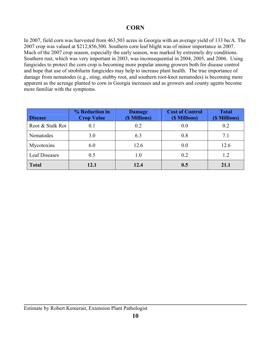# **CORN**

In 2007, field corn was harvested from 463,503 acres in Georgia with an average yield of 133 bu/A. The 2007 crop was valued at \$212,856,500. Southern corn leaf blight was of minor importance in 2007. Much of the 2007 crop season, especially the early season, was marked by extremely dry conditions. Southern rust, which was very important in 2003, was inconsequential in 2004, 2005, and 2006. Using fungicides to protect the corn crop is becoming more popular among growers both for disease control and hope that use of strobilurin fungicides may help to increase plant health. The true importance of damage from nematodes (e.g., sting, stubby root, and southern root-knot nematodes) is becoming more apparent as the acreage planted to corn in Georgia increases and as growers and county agents become more familiar with the symptoms.

| <b>Disease</b>       | % Reduction in<br><b>Crop Value</b> | <b>Damage</b><br>(\$ Millions) | <b>Cost of Control</b><br>(\$ Millions) | <b>Total</b><br>(\$ Millions) |
|----------------------|-------------------------------------|--------------------------------|-----------------------------------------|-------------------------------|
| Root & Stalk Rot     | 0.1                                 | 0.2                            | 0.0                                     | 0.2                           |
| Nematodes            | 3.0                                 | 6.3                            | 0.8                                     | 7.1                           |
| Mycotoxins           | 6.0                                 | 12.6                           | 0.0                                     | 12.6                          |
| <b>Leaf Diseases</b> | 0.5                                 | 1.0                            | 0.2                                     | 1.2                           |
| <b>Total</b>         | 12.1                                | 12.4                           | 0.5                                     | 21.1                          |

**\_\_\_\_\_\_\_\_\_\_\_\_\_\_\_\_\_\_\_\_\_\_\_\_\_\_\_\_\_\_\_\_\_\_\_\_\_\_\_\_\_\_\_\_\_\_\_\_\_\_\_\_\_\_\_\_\_\_\_\_\_\_\_\_\_\_\_\_\_\_\_\_**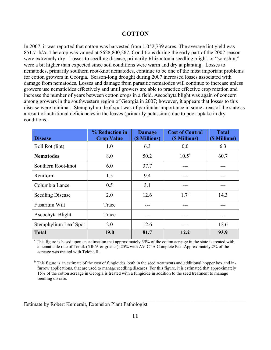#### **COTTON**

In 2007, it was reported that cotton was harvested from 1,052,739 acres. The average lint yield was 851.7 lb/A. The crop was valued at \$628,800,267. Conditions during the early part of the 2007 season were extremely dry. Losses to seedling disease, primarily Rhizoctonia seedling blight, or "soreshin," were a bit higher than expected since soil conditions were warm and dry at planting. Losses to nematodes, primarily southern root-knot nematodes, continue to be one of the most important problems for cotton growers in Georgia. Season-long drought during 2007 increased losses associated with damage from nematodes. Losses and damage from parasitic nematodes will continue to increase unless growers use nematicides effectively and until growers are able to practice effective crop rotation and increase the number of years between cotton crops in a field. Ascochyta blight was again of concern among growers in the southwestern region of Georgia in 2007; however, it appears that losses to this disease were minimal. Stemphylium leaf spot was of particular importance in some areas of the state as a result of nutritional deficiencies in the leaves (primarily potassium) due to poor uptake in dry conditions.

| <b>Disease</b>          | % Reduction in<br><b>Crop Value</b> | <b>Damage</b><br>(\$ Millions) | <b>Cost of Control</b><br>(\$ Millions) | <b>Total</b><br>(\$ Millions) |
|-------------------------|-------------------------------------|--------------------------------|-----------------------------------------|-------------------------------|
| Boll Rot (lint)         | 1.0                                 | 6.3                            | 0.0                                     | 6.3                           |
| <b>Nematodes</b>        | 8.0                                 | 50.2                           | $10.5^{\text{a}}$                       | 60.7                          |
| Southern Root-knot      | 6.0                                 | 37.7                           |                                         |                               |
| Reniform                | 1.5                                 | 9.4                            |                                         |                               |
| Columbia Lance          | 0.5                                 | 3.1                            |                                         |                               |
| <b>Seedling Disease</b> | 2.0                                 | 12.6                           | $1.7^{b}$                               | 14.3                          |
| Fusarium Wilt           | Trace                               |                                |                                         |                               |
| Ascochyta Blight        | Trace                               |                                |                                         |                               |
| Stemphylium Leaf Spot   | 2.0                                 | 12.6                           | ---                                     | 12.6                          |
| <b>Total</b>            | <b>19.0</b>                         | 81.7                           | 12.2                                    | 93.9                          |

a This figure is based upon an estimation that approximately 35% of the cotton acreage in the state is treated with a nematicide rate of Temik (5 lb/A or greater), 25% with AVICTA Complete Pak. Approximately 2% of the acreage was treated with Telone II.

<sup>b</sup> This figure is an estimate of the cost of fungicides, both in the seed treatments and additional hopper box and infurrow applications, that are used to manage seedling diseases. For this figure, it is estimated that approximately 15% of the cotton acreage in Georgia is treated with a fungicide in addition to the seed treatment to manage seedling disease.

Estimate by Robert Kemerait, Extension Plant Pathologist

 $\ldots$  . The contribution of the contribution of the contribution of the contribution of the contribution of the contribution of the contribution of the contribution of the contribution of the contribution of the contribut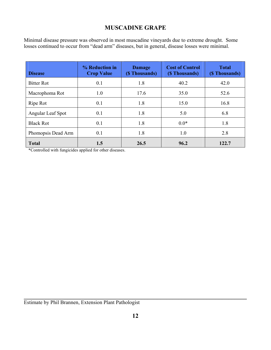# **MUSCADINE GRAPE**

Minimal disease pressure was observed in most muscadine vineyards due to extreme drought. Some losses continued to occur from "dead arm" diseases, but in general, disease losses were minimal.

| <b>Disease</b>     | % Reduction in<br><b>Crop Value</b> | <b>Damage</b><br>(\$ Thousands) | <b>Cost of Control</b><br>(\$ Thousands) | <b>Total</b><br>(\$Thousands) |
|--------------------|-------------------------------------|---------------------------------|------------------------------------------|-------------------------------|
| <b>Bitter Rot</b>  | 0.1                                 | 1.8                             | 40.2                                     | 42.0                          |
| Macrophoma Rot     | 1.0                                 | 17.6                            | 35.0                                     | 52.6                          |
| Ripe Rot           | 0.1                                 | 1.8                             | 15.0                                     | 16.8                          |
| Angular Leaf Spot  | 0.1                                 | 1.8                             | 5.0                                      | 6.8                           |
| <b>Black Rot</b>   | 0.1                                 | 1.8                             | $0.0*$                                   | 1.8                           |
| Phomopsis Dead Arm | 0.1                                 | 1.8                             | 1.0                                      | 2.8                           |
| <b>Total</b>       | 1.5                                 | 26.5                            | 96.2                                     | 122.7                         |

\*Controlled with fungicides applied for other diseases.

Estimate by Phil Brannen, Extension Plant Pathologist

**\_\_\_\_\_\_\_\_\_\_\_\_\_\_\_\_\_\_\_\_\_\_\_\_\_\_\_\_\_\_\_\_\_\_\_\_\_\_\_\_\_\_\_\_\_\_\_\_\_\_\_\_\_\_\_\_\_\_\_\_\_\_\_\_\_\_\_\_\_\_\_\_**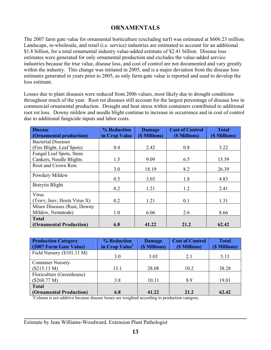# **ORNAMENTALS**

The 2007 farm gate value for ornamental horticulture (excluding turf) was estimated at \$606.23 million. Landscape, re-wholesale, and retail (i.e. service) industries are estimated to account for an additional \$1.8 billion, for a total ornamental industry value-added estimate of \$2.41 billion. Disease loss estimates were generated for only ornamental production and excludes the value-added service industries because the true value, disease loss, and cost of control are not documented and vary greatly within the industry. This change was initiated in 2005, and is a major deviation from the disease loss estimates generated in years prior to 2005, as only farm-gate value is reported and used to develop the loss estimate.

Losses due to plant diseases were reduced from 2006 values, most likely due to drought conditions throughout much of the year. Root rot diseases still account for the largest percentage of disease loss in commercial ornamental production. Drought and heat stress within containers contributed to additional root rot loss. Downy mildew and needle blight continue to increase in occurrence and in cost of control due to additional fungicide inputs and labor costs.

| <b>Disease</b>              | % Reduction   | <b>Damage</b> | <b>Cost of Control</b> | <b>Total</b>  |
|-----------------------------|---------------|---------------|------------------------|---------------|
| (Ornamental production)     | in Crop Value | (\$ Millions) | (\$ Millions)          | (\$ Millions) |
| <b>Bacterial Diseases</b>   |               |               |                        |               |
| (Fire Blight, Leaf Spots)   | 0.4           | 2.42          | 0.8                    | 3.22          |
| Fungal Leaf Spots, Stem     |               |               |                        |               |
| Cankers, Needle Blights     | 1.5           | 9.09          | 6.5                    | 15.59         |
| <b>Root and Crown Rots</b>  |               |               |                        |               |
|                             | 3.0           | 18.19         | 8.2                    | 26.39         |
| Powdery Mildew              | 0.5           | 3.03          | 1.8                    | 4.83          |
| <b>Botrytis Blight</b>      | 0.2           | 1.21          | 1.2                    | 2.41          |
| Virus                       |               |               |                        |               |
| (Tswv, Insv, Hosta Virus X) | 0.2           | 1.21          | 0.1                    | 1.31          |
| Minor Diseases (Rust, Downy |               |               |                        |               |
| Mildew, Nematode)           | 1.0           | 6.06          | 2.6                    | 8.66          |
| <b>Total</b>                |               |               |                        |               |
| (Ornamental Production)     | 6.8           | 41.22         | 21.2                   | 62.42         |

| <b>Production Category</b><br>(2007 Farm Gate Value) | % Reduction<br>in Crop Value <sup>1</sup> | <b>Damage</b><br>(\$ Millions) | <b>Cost of Control</b><br>(\$ Millions) | <b>Total</b><br>(\$ Millions) |
|------------------------------------------------------|-------------------------------------------|--------------------------------|-----------------------------------------|-------------------------------|
| Field Nursery $(\$101.11 M)$                         | 3.0                                       | 3.03                           | 2.1                                     | 5.13                          |
| <b>Container Nursery</b>                             |                                           |                                |                                         |                               |
| (\$215.13 M)                                         | 13.1                                      | 28.08                          | 10.2                                    | 38.28                         |
| Floriculture (Greenhouse)                            |                                           |                                |                                         |                               |
| (\$268.77 M)                                         | 3.8                                       | 10.11                          | 8.9                                     | 19.01                         |
| <b>Total</b>                                         |                                           |                                |                                         |                               |
| (Ornamental Production)                              | 6.8                                       | 41.22                          | 21.2                                    | 62.42                         |

<sup>1</sup>Column is not additive because disease losses are weighted according to production category.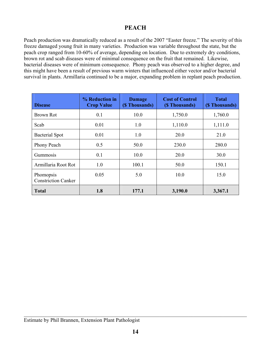# **PEACH**

Peach production was dramatically reduced as a result of the 2007 "Easter freeze." The severity of this freeze damaged young fruit in many varieties. Production was variable throughout the state, but the peach crop ranged from 10-60% of average, depending on location. Due to extremely dry conditions, brown rot and scab diseases were of minimal consequence on the fruit that remained. Likewise, bacterial diseases were of minimum consequence. Phony peach was observed to a higher degree, and this might have been a result of previous warm winters that influenced either vector and/or bacterial survival in plants. Armillaria continued to be a major, expanding problem in replant peach production.

| <b>Disease</b>                          | % Reduction in<br><b>Crop Value</b> | <b>Damage</b><br>(\$ Thousands) | <b>Cost of Control</b><br>(\$ Thousands) | <b>Total</b><br>(\$Thousands) |
|-----------------------------------------|-------------------------------------|---------------------------------|------------------------------------------|-------------------------------|
| Brown Rot                               | 0.1                                 | 10.0                            | 1,750.0                                  | 1,760.0                       |
| Scab                                    | 0.01                                | 1.0                             | 1,110.0                                  | 1,111.0                       |
| <b>Bacterial Spot</b>                   | 0.01                                | 1.0                             | 20.0                                     | 21.0                          |
| Phony Peach                             | 0.5                                 | 50.0                            | 230.0                                    | 280.0                         |
| Gummosis                                | 0.1                                 | 10.0                            | 20.0                                     | 30.0                          |
| Armillaria Root Rot                     | 1.0                                 | 100.1                           | 50.0                                     | 150.1                         |
| Phomopsis<br><b>Constriction Canker</b> | 0.05                                | 5.0                             | 10.0                                     | 15.0                          |
| <b>Total</b>                            | 1.8                                 | 177.1                           | 3,190.0                                  | 3,367.1                       |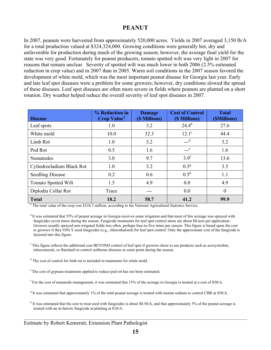# **PEANUT**

In 2007, peanuts were harvested from approximately 520,000 acres. Yields in 2007 averaged 3,150 lb/A for a total production valued at \$324,324,000. Growing conditions were generally hot, dry and unfavorable for production during much of the growing season; however, the average final yield for the state was very good. Fortunately for peanut producers, tomato spotted wilt was very light in 2007 for reasons that remain unclear. Severity of spotted wilt was much lower in both 2006 (2.5% estimated reduction in crop value) and in 2007 than in 2005. Warm soil conditions in the 2007 season favored the development of white mold, which was the most important peanut disease for Georgia last year. Early and late leaf spot diseases were a problem for some growers; however, dry conditions slowed the spread of these diseases. Leaf spot diseases are often more severe in fields where peanuts are planted on a short rotation. Dry weather helped reduce the overall severity of leaf spot diseases in 2007.

| <b>Disease</b>             | % Reduction in<br><b>Crop Value<sup>a</sup></b> | <b>Damage</b><br>(\$ Millions) | <b>Cost of Control</b><br>(\$ Millions) | <b>Total</b><br>(\$Millions) |
|----------------------------|-------------------------------------------------|--------------------------------|-----------------------------------------|------------------------------|
| Leaf spots                 | 1.0                                             | 3.2                            | $24.4^{b}$                              | 27.6                         |
| White mold                 | 10.0                                            | 32.3                           | $12.1^\circ$                            | 44.4                         |
| Limb Rot                   | 1.0                                             | 3.2                            | $---d$                                  | 3.2                          |
| Pod Rot                    | 0.5                                             | 1.6                            | $\sim$ e                                | 1.6                          |
| Nematodes                  | 3.0                                             | 9.7                            | 3.9 <sup>f</sup>                        | 13.6                         |
| Cylindrocladium Black Rot  | 1.0                                             | 3.2                            | $0.3^{\rm g}$                           | 3.5                          |
| <b>Seedling Disease</b>    | 0.2                                             | 0.6                            | $0.5^{\rm h}$                           | 1.1                          |
| <b>Tomato Spotted Wilt</b> | 1.5                                             | 4.9                            | 0.0                                     | 4.9                          |
| Diplodia Collar Rot        | Trace                                           | ---                            | 0.0                                     | $\theta$                     |
| <b>Total</b>               | 18.2                                            | 58.7                           | 41.2                                    | 99.9                         |

<sup>a</sup> The total value of the crop was \$324.3 million, according to the National Agricultural Statistics Service.

 $c$  This figure reflects the additional cost BEYOND control of leaf spot if growers chose to use products such as azoxystrobin, tebuconazole, or flutolanil to control soilborne diseases at some point during the season.

<sup>d</sup> The cost of control for limb rot is included in treatments for white mold.

<sup>e</sup> The cost of gypsum treatments applied to reduce pod rot has not been estimated.

<sup>f</sup> For the cost of nematode management, it was estimated that 15% of the acreage in Georgia is treated at a cost of \$50/A.

 $g$  It was estimated that approximately 1% of the total peanut acreage is treated with metam sodium to control CBR at \$50/A.

<sup>h</sup> It was estimated that the cost to treat seed with fungicides is about \$0.50/A, and that approximately 5% of the peanut acreage is treated with an in-furrow fungicide at planting at \$10/A.

\_\_\_\_\_\_\_\_\_\_\_\_\_\_\_\_\_\_\_\_\_\_\_\_\_\_\_\_\_\_\_\_\_\_\_\_\_\_\_\_\_\_\_\_\_\_\_\_\_\_\_\_\_\_\_\_\_\_\_\_\_\_\_\_\_\_\_\_\_\_\_\_\_\_\_\_\_\_\_\_\_\_\_\_\_\_\_\_\_\_\_\_\_\_\_\_\_\_\_\_\_\_\_\_\_\_\_\_\_\_\_\_

<sup>&</sup>lt;sup>b</sup> It was estimated that 55% of peanut acreage in Georgia receives some irrigation and that most of this acreage was sprayed with fungicides seven times during the season. Fungicide treatments for leaf spot control alone are about \$8/acre per application. Growers usually sprayed non-irrigated fields less often, perhaps four-to-five times per season. This figure is based upon the cost to growers if they ONLY used fungicides (e.g., chlorothalonil) for leaf spot control. Only the approximate cost of the fungicide is factored into this figure.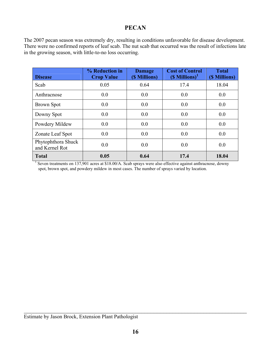#### **PECAN**

The 2007 pecan season was extremely dry, resulting in conditions unfavorable for disease development. There were no confirmed reports of leaf scab. The nut scab that occurred was the result of infections late in the growing season, with little-to-no loss occurring.

| <b>Disease</b>                       | % Reduction in<br><b>Crop Value</b> | <b>Damage</b><br>(\$ Millions) | <b>Cost of Control</b><br>$(S$ Millions) <sup>1</sup> | <b>Total</b><br>(\$ Millions) |
|--------------------------------------|-------------------------------------|--------------------------------|-------------------------------------------------------|-------------------------------|
| Scab                                 | 0.05                                | 0.64                           | 17.4                                                  | 18.04                         |
| Anthracnose                          | 0.0                                 | 0.0                            | 0.0                                                   | 0.0                           |
| <b>Brown Spot</b>                    | 0.0                                 | 0.0                            | 0.0                                                   | 0.0                           |
| Downy Spot                           | 0.0                                 | 0.0                            | 0.0                                                   | 0.0                           |
| Powdery Mildew                       | 0.0                                 | 0.0                            | 0.0                                                   | 0.0                           |
| Zonate Leaf Spot                     | 0.0                                 | 0.0                            | 0.0                                                   | 0.0                           |
| Phytophthora Shuck<br>and Kernel Rot | 0.0                                 | 0.0                            | 0.0                                                   | 0.0                           |
| <b>Total</b>                         | 0.05                                | 0.64                           | 17.4                                                  | 18.04                         |

<sup>1</sup> Seven treatments on 137,901 acres at \$18.00/A. Scab sprays were also effective against anthracnose, downy spot, brown spot, and powdery mildew in most cases. The number of sprays varied by location.

 $\mathcal{L}_\mathcal{L}$  , and the contribution of the contribution of the contribution of the contribution of the contribution of the contribution of the contribution of the contribution of the contribution of the contribution of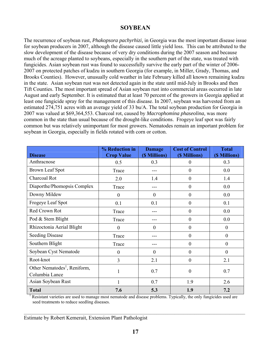#### **SOYBEAN**

The recurrence of soybean rust, *Phakopsora pachyrhizi,* in Georgia was the most important disease issue for soybean producers in 2007, although the disease caused little yield loss. This can be attributed to the slow development of the disease because of very dry conditions during the 2007 season and because much of the acreage planted to soybeans, especially in the southern part of the state, was treated with fungicides. Asian soybean rust was found to successfully survive the early part of the winter of 2006- 2007 on protected patches of kudzu in southern Georgia (for example, in Miller, Grady, Thomas, and Brooks Counties). However, unusually cold weather in late February killed all known remaining kudzu in the state. Asian soybean rust was not detected again in the state until mid-July in Brooks and then Tift Counties. The most important spread of Asian soybean rust into commercial areas occurred in late August and early September. It is estimated that at least 70 percent of the growers in Georgia applied at least one fungicide spray for the management of this disease. In 2007, soybean was harvested from an estimated 274,751 acres with an average yield of 33 bu/A. The total soybean production for Georgia in 2007 was valued at \$69,364,553. Charcoal rot, caused by *Macrophomina phaseolina,* was more common in the state than usual because of the drought-like conditions. Frogeye leaf spot was fairly common but was relatively unimportant for most growers. Nematodes remain an important problem for soybean in Georgia, especially in fields rotated with corn or cotton.

| <b>Disease</b>                                             | % Reduction in<br><b>Crop Value</b> | <b>Damage</b><br>(\$ Millions) | <b>Cost of Control</b><br>(\$ Millions) | <b>Total</b><br>(\$ Millions) |
|------------------------------------------------------------|-------------------------------------|--------------------------------|-----------------------------------------|-------------------------------|
| Anthracnose                                                | 0.5                                 | 0.3                            | $\boldsymbol{0}$                        | 0.3                           |
| <b>Brown Leaf Spot</b>                                     | Trace                               |                                | $\mathbf{0}$                            | 0.0                           |
| Charcoal Rot                                               | 2.0                                 | 1.4                            | $\boldsymbol{0}$                        | 1.4                           |
| Diaporthe/Phomopsis Complex                                | Trace                               |                                | $\boldsymbol{0}$                        | 0.0                           |
| Downy Mildew                                               | $\overline{0}$                      | $\overline{0}$                 | $\mathbf{0}$                            | 0.0                           |
| Frogeye Leaf Spot                                          | 0.1                                 | 0.1                            | $\boldsymbol{0}$                        | 0.1                           |
| Red Crown Rot                                              | Trace                               |                                | $\mathbf{0}$                            | 0.0                           |
| Pod & Stem Blight                                          | Trace                               |                                | $\mathbf{0}$                            | 0.0                           |
| Rhizoctonia Aerial Blight                                  | $\boldsymbol{0}$                    | $\theta$                       | $\boldsymbol{0}$                        | $\boldsymbol{0}$              |
| <b>Seeding Disease</b>                                     | Trace                               |                                | $\boldsymbol{0}$                        | $\boldsymbol{0}$              |
| Southern Blight                                            | Trace                               |                                | $\boldsymbol{0}$                        | $\boldsymbol{0}$              |
| Soybean Cyst Nematode                                      | $\boldsymbol{0}$                    | $\mathbf{0}$                   | $\boldsymbol{0}$                        | $\mathbf{0}$                  |
| Root-knot                                                  | 3                                   | 2.1                            | $\mathbf{0}$                            | 2.1                           |
| Other Nematodes <sup>1</sup> , Reniform,<br>Columbia Lance | 1                                   | 0.7                            | $\boldsymbol{0}$                        | 0.7                           |
| Asian Soybean Rust                                         |                                     | 0.7                            | 1.9                                     | 2.6                           |
| <b>Total</b>                                               | 7.6                                 | 5.3                            | 1.9                                     | 7.2                           |

1 Resistant varieties are used to manage most nematode and disease problems. Typically, the only fungicides used are seed treatments to reduce seedling diseases.

 $\ldots$  . The contribution of the contribution of the contribution of the contribution of the contribution of the contribution of the contribution of the contribution of the contribution of the contribution of the contribut

Estimate by Robert Kemerait, Extension Plant Pathologist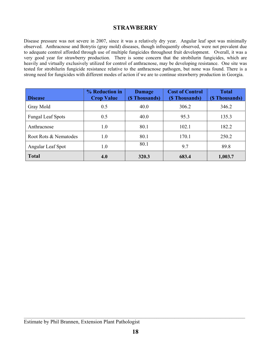# **STRAWBERRY**

Disease pressure was not severe in 2007, since it was a relatively dry year. Angular leaf spot was minimally observed. Anthracnose and Botrytis (gray mold) diseases, though infrequently observed, were not prevalent due to adequate control afforded through use of multiple fungicides throughout fruit development. Overall, it was a very good year for strawberry production. There is some concern that the strobilurin fungicides, which are heavily and virtually exclusively utilized for control of anthracnose, may be developing resistance. One site was tested for strobilurin fungicide resistance relative to the anthracnose pathogen, but none was found. There is a strong need for fungicides with different modes of action if we are to continue strawberry production in Georgia.

| <b>Disease</b>           | % Reduction in<br><b>Crop Value</b> | <b>Damage</b><br>(\$Thousands) | <b>Cost of Control</b><br>(\$ Thousands) | <b>Total</b><br>(\$Thousands) |
|--------------------------|-------------------------------------|--------------------------------|------------------------------------------|-------------------------------|
| Gray Mold                | 0.5                                 | 40.0                           | 306.2                                    | 346.2                         |
| <b>Fungal Leaf Spots</b> | 0.5                                 | 40.0                           | 95.3                                     | 135.3                         |
| Anthracnose              | 1.0                                 | 80.1                           | 102.1                                    | 182.2                         |
| Root Rots & Nematodes    | 1.0                                 | 80.1                           | 170.1                                    | 250.2                         |
| Angular Leaf Spot        | 1.0                                 | 80.1                           | 9.7                                      | 89.8                          |
| <b>Total</b>             | 4.0                                 | 320.3                          | 683.4                                    | 1,003.7                       |

 $\ldots$  . The contribution of the contribution of the contribution of the contribution of the contribution of the contribution of the contribution of the contribution of the contribution of the contribution of the contribut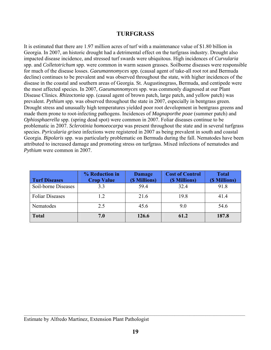#### **TURFGRASS**

It is estimated that there are 1.97 million acres of turf with a maintenance value of \$1.80 billion in Georgia. In 2007, an historic drought had a detrimental effect on the turfgrass industry. Drought also impacted disease incidence, and stressed turf swards were ubiquitous. High incidences of *Curvularia* spp. and *Colletotrichum* spp. were common in warm season grasses. Soilborne diseases were responsible for much of the disease losses. *Gaeumannomyces* spp. (causal agent of take-all root rot and Bermuda decline) continues to be prevalent and was observed throughout the state, with higher incidences of the disease in the coastal and southern areas of Georgia. St. Augustinegrass, Bermuda, and centipede were the most affected species. In 2007, *Gaeumannomyces* spp. was commonly diagnosed at our Plant Disease Clinics. *Rhizoctonia* spp. (causal agent of brown patch, large patch, and yellow patch) was prevalent. *Pythium* spp. was observed throughout the state in 2007, especially in bentgrass green. Drought stress and unusually high temperatures yielded poor root development in bentgrass greens and made them prone to root-infecting pathogens. Incidences of *Magnaporthe poae* (summer patch) and *Ophiosphaerella* spp. (spring dead spot) were common in 2007. Foliar diseases continue to be problematic in 2007. *Sclerotinia homoeocarpa* was present throughout the state and in several turfgrass species. *Pyricularia grisea* infections were registered in 2007 as being prevalent in south and coastal Georgia. *Bipolaris* spp. was particularly problematic on Bermuda during the fall. Nematodes have been attributed to increased damage and promoting stress on turfgrass. Mixed infections of nematodes and *Pythium* were common in 2007.

| <b>Turf Diseases</b>   | % Reduction in<br><b>Crop Value</b> | <b>Damage</b><br>(\$ Millions) | <b>Cost of Control</b><br>(\$ Millions) | <b>Total</b><br>(\$ Millions) |
|------------------------|-------------------------------------|--------------------------------|-----------------------------------------|-------------------------------|
| Soil-borne Diseases    | 3.3                                 | 59.4                           | 32.4                                    | 91.8                          |
| <b>Foliar Diseases</b> | 1.2                                 | 21.6                           | 19.8                                    | 41.4                          |
| Nematodes              | 2.5                                 | 45.6                           | 9.0                                     | 54.6                          |
| <b>Total</b>           | 7.0                                 | 126.6                          | 61.2                                    | 187.8                         |

 $\ldots$  . The contribution of the contribution of the contribution of the contribution of the contribution of the contribution of the contribution of the contribution of the contribution of the contribution of the contribut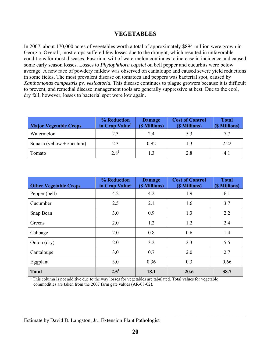# **VEGETABLES**

In 2007, about 170,000 acres of vegetables worth a total of approximately \$894 million were grown in Georgia. Overall, most crops suffered few losses due to the drought, which resulted in unfavorable conditions for most diseases. Fusarium wilt of watermelon continues to increase in incidence and caused some early season losses. Losses to *Phytophthora capsici* on bell pepper and cucurbits were below average. A new race of powdery mildew was observed on cantaloupe and caused severe yield reductions in some fields. The most prevalent disease on tomatoes and peppers was bacterial spot, caused by *Xanthomonas campestris* pv. *vesicatoria.* This disease continues to plague growers because it is difficult to prevent, and remedial disease management tools are generally suppressive at best. Due to the cool, dry fall, however, losses to bacterial spot were low again.

| <b>Major Vegetable Crops</b> | % Reduction<br>in Crop Value <sup>1</sup> | <b>Damage</b><br>(\$ Millions) | <b>Cost of Control</b><br>(\$ Millions) | <b>Total</b><br>(\$ Millions) |
|------------------------------|-------------------------------------------|--------------------------------|-----------------------------------------|-------------------------------|
| Watermelon                   | 2.3                                       | 24                             | 5.3                                     | 77                            |
| Squash (yellow + zucchini)   | 2.3                                       | 0.92                           | 1.3                                     | 2.22                          |
| Tomato                       | $2.8^{1}$                                 |                                | 2.8                                     | 4.                            |

| <b>Other Vegetable Crops</b> | % Reduction<br>in Crop Value <sup>1</sup> | <b>Damage</b><br>(\$ Millions) | <b>Cost of Control</b><br>(\$ Millions) | <b>Total</b><br>(\$ Millions) |
|------------------------------|-------------------------------------------|--------------------------------|-----------------------------------------|-------------------------------|
| Pepper (bell)                | 4.2                                       | 4.2                            | 1.9                                     | 6.1                           |
| Cucumber                     | 2.5                                       | 2.1                            | 1.6                                     | 3.7                           |
| Snap Bean                    | 3.0                                       | 0.9                            | 1.3                                     | 2.2                           |
| Greens                       | 2.0                                       | 1.2                            | 1.2                                     | 2.4                           |
| Cabbage                      | 2.0                                       | 0.8                            | 0.6                                     | 1.4                           |
| Onion (dry)                  | 2.0                                       | 3.2                            | 2.3                                     | 5.5                           |
| Cantaloupe                   | 3.0                                       | 0.7                            | 2.0                                     | 2.7                           |
| Eggplant                     | 3.0                                       | 0.36                           | 0.3                                     | 0.66                          |
| <b>Total</b>                 | $2.5^{1}$                                 | 18.1                           | 20.6                                    | 38.7                          |

1 This column is not additive due to the way losses for vegetables are tabulated. Total values for vegetable commodities are taken from the 2007 farm gate values (AR-08-02).

 $\mathcal{L}_\mathcal{L} = \mathcal{L}_\mathcal{L} = \mathcal{L}_\mathcal{L} = \mathcal{L}_\mathcal{L} = \mathcal{L}_\mathcal{L} = \mathcal{L}_\mathcal{L} = \mathcal{L}_\mathcal{L} = \mathcal{L}_\mathcal{L} = \mathcal{L}_\mathcal{L} = \mathcal{L}_\mathcal{L} = \mathcal{L}_\mathcal{L} = \mathcal{L}_\mathcal{L} = \mathcal{L}_\mathcal{L} = \mathcal{L}_\mathcal{L} = \mathcal{L}_\mathcal{L} = \mathcal{L}_\mathcal{L} = \mathcal{L}_\mathcal{L}$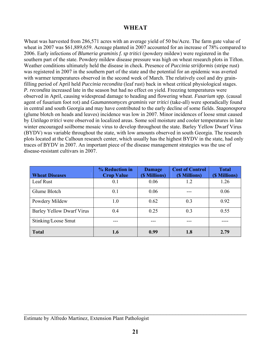# **WHEAT**

Wheat was harvested from 286,571 acres with an average yield of 50 bu/Acre. The farm gate value of wheat in 2007 was \$61,889,659. Acreage planted in 2007 accounted for an increase of 78% compared to 2006. Early infections of *Blumeria graminis f. sp tritici* (powdery mildew) were registered in the southern part of the state. Powdery mildew disease pressure was high on wheat research plots in Tifton. Weather conditions ultimately held the disease in check. Presence of *Puccinia striiformis* (stripe rust) was registered in 2007 in the southern part of the state and the potential for an epidemic was averted with warmer temperatures observed in the second week of March. The relatively cool and dry grainfilling period of April held *Puccinia recondita* (leaf rust) back in wheat critical physiological stages. *P. recondita* increased late in the season but had no effect on yield. Freezing temperatures were observed in April, causing widespread damage to heading and flowering wheat. *Fusarium* spp. (causal agent of fusarium foot rot) and *Gaumannomyces graminis var tritici* (take-all) were sporadically found in central and south Georgia and may have contributed to the early decline of some fields. *Stagonospora* (glume blotch on heads and leaves) incidence was low in 2007. Minor incidences of loose smut caused by *Ustilago tritici* were observed in localized areas. Some soil moisture and cooler temperatures in late winter encouraged soilborne mosaic virus to develop throughout the state. Barley Yellow Dwarf Virus (BYDV) was variable throughout the state, with low amounts observed in south Georgia. The research plots located at the Calhoun research center, which usually has the highest BYDV in the state, had only traces of BYDV in 2007. An important piece of the disease management strategies was the use of disease-resistant cultivars in 2007.

| <b>Wheat Diseases</b>            | % Reduction in<br><b>Crop Value</b> | <b>Damage</b><br>(\$ Millions) | <b>Cost of Control</b><br>(\$ Millions) | <b>Total</b><br>(\$ Millions) |
|----------------------------------|-------------------------------------|--------------------------------|-----------------------------------------|-------------------------------|
| Leaf Rust                        | 0.1                                 | 0.06                           | 1.2                                     | 1.26                          |
| Glume Blotch                     | 0.1                                 | 0.06                           |                                         | 0.06                          |
| Powdery Mildew                   | 1.0                                 | 0.62                           | 0.3                                     | 0.92                          |
| <b>Barley Yellow Dwarf Virus</b> | 0.4                                 | 0.25                           | 0.3                                     | 0.55                          |
| Stinking/Loose Smut              |                                     |                                |                                         |                               |
| <b>Total</b>                     | 1.6                                 | 0.99                           | 1.8                                     | 2.79                          |

 $\mathcal{L}_\mathcal{L}$  , and the contribution of the contribution of the contribution of the contribution of the contribution of the contribution of the contribution of the contribution of the contribution of the contribution of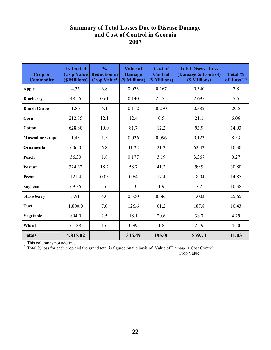# **Summary of Total Losses Due to Disease Damage and Cost of Control in Georgia 2007**

| <b>Crop or</b><br><b>Commodity</b> | <b>Estimated</b><br><b>Crop Value</b><br>(\$ Millions) | $\frac{0}{0}$<br><b>Reduction in</b><br><b>Crop Value<sup>1</sup></b> | <b>Value of</b><br><b>Damage</b><br>(\$ Millions) | Cost of<br><b>Control</b><br>(\$ Millions) | <b>Total Disease Loss</b><br>(Damage & Control)<br>(\$ Millions) | Total %<br>of Loss <sup><math>1,2</math></sup> |
|------------------------------------|--------------------------------------------------------|-----------------------------------------------------------------------|---------------------------------------------------|--------------------------------------------|------------------------------------------------------------------|------------------------------------------------|
| <b>Apple</b>                       | 4.35                                                   | 6.8                                                                   | 0.073                                             | 0.267                                      | 0.340                                                            | 7.8                                            |
| <b>Blueberry</b>                   | 48.56                                                  | 0.61                                                                  | 0.140                                             | 2.555                                      | 2.695                                                            | 5.5                                            |
| <b>Bunch Grape</b>                 | 1.86                                                   | 6.1                                                                   | 0.112                                             | 0.270                                      | 0.382                                                            | 20.5                                           |
| Corn                               | 212.85                                                 | 12.1                                                                  | 12.4                                              | 0.5                                        | 21.1                                                             | 6.06                                           |
| <b>Cotton</b>                      | 628.80                                                 | 19.0                                                                  | 81.7                                              | 12.2                                       | 93.9                                                             | 14.93                                          |
| <b>Muscadine Grape</b>             | 1.43                                                   | 1.5                                                                   | 0.026                                             | 0.096                                      | 0.123                                                            | 8.53                                           |
| <b>Ornamental</b>                  | 606.0                                                  | 6.8                                                                   | 41.22                                             | 21.2                                       | 62.42                                                            | 10.30                                          |
| Peach                              | 36.30                                                  | 1.8                                                                   | 0.177                                             | 3.19                                       | 3.367                                                            | 9.27                                           |
| Peanut                             | 324.32                                                 | 18.2                                                                  | 58.7                                              | 41.2                                       | 99.9                                                             | 30.80                                          |
| Pecan                              | 121.4                                                  | 0.05                                                                  | 0.64                                              | 17.4                                       | 18.04                                                            | 14.85                                          |
| Soybean                            | 69.36                                                  | 7.6                                                                   | 5.3                                               | 1.9                                        | 7.2                                                              | 10.38                                          |
| <b>Strawberry</b>                  | 3.91                                                   | 4.0                                                                   | 0.320                                             | 0.683                                      | 1.003                                                            | 25.65                                          |
| Turf                               | 1,800.0                                                | 7.0                                                                   | 126.6                                             | 61.2                                       | 187.8                                                            | 10.43                                          |
| Vegetable                          | 894.0                                                  | 2.5                                                                   | 18.1                                              | 20.6                                       | 38.7                                                             | 4.29                                           |
| Wheat                              | 61.88                                                  | 1.6                                                                   | 0.99                                              | 1.8                                        | 2.79                                                             | 4.50                                           |
| <b>Totals</b>                      | 4,815.02                                               |                                                                       | 346.49                                            | 185.06                                     | 539.74                                                           | 11.03                                          |

<sup>1</sup> This column is not additive.<br><sup>2</sup> Total % loss for each crop and the grand total is figured on the basis of: <u>Value of Damage + Cost Control</u>

Crop Value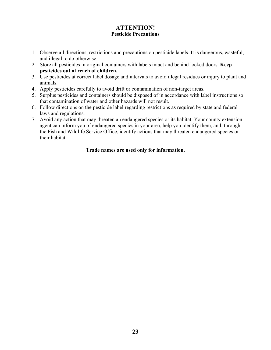#### **ATTENTION! Pesticide Precautions**

- 1. Observe all directions, restrictions and precautions on pesticide labels. It is dangerous, wasteful, and illegal to do otherwise.
- 2. Store all pesticides in original containers with labels intact and behind locked doors. **Keep pesticides out of reach of children.**
- 3. Use pesticides at correct label dosage and intervals to avoid illegal residues or injury to plant and animals.
- 4. Apply pesticides carefully to avoid drift or contamination of non-target areas.
- 5. Surplus pesticides and containers should be disposed of in accordance with label instructions so that contamination of water and other hazards will not result.
- 6. Follow directions on the pesticide label regarding restrictions as required by state and federal laws and regulations.
- 7. Avoid any action that may threaten an endangered species or its habitat. Your county extension agent can inform you of endangered species in your area, help you identify them, and, through the Fish and Wildlife Service Office, identify actions that may threaten endangered species or their habitat.

#### **Trade names are used only for information.**